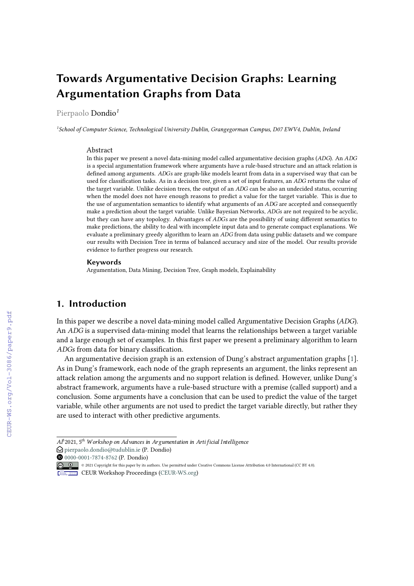# **Towards Argumentative Decision Graphs: Learning Argumentation Graphs from Data**

Pierpaolo Dondio*<sup>1</sup>*

*1 School of Computer Science, Technological University Dublin, Grangegorman Campus, D07 EWV4, Dublin, Ireland*

#### Abstract

In this paper we present a novel data-mining model called argumentative decision graphs  $(ADC)$ . An  $ADC$ is a special argumentation framework where arguments have a rule-based structure and an attack relation is defined among arguments. ADGs are graph-like models learnt from data in a supervised way that can be used for classification tasks. As in a decision tree, given a set of input features, an ADG returns the value of the target variable. Unlike decision trees, the output of an ADG can be also an undecided status, occurring when the model does not have enough reasons to predict a value for the target variable. This is due to the use of argumentation semantics to identify what arguments of an ADG are accepted and consequently make a prediction about the target variable. Unlike Bayesian Networks, ADGs are not required to be acyclic, but they can have any topology. Advantages of ADGs are the possibility of using different semantics to make predictions, the ability to deal with incomplete input data and to generate compact explanations. We evaluate a preliminary greedy algorithm to learn an ADG from data using public datasets and we compare our results with Decision Tree in terms of balanced accuracy and size of the model. Our results provide evidence to further progress our research.

#### **Keywords**

Argumentation, Data Mining, Decision Tree, Graph models, Explainability

### **1. Introduction**

In this paper we describe a novel data-mining model called Argumentative Decision Graphs (ADG). An ADG is a supervised data-mining model that learns the relationships between a target variable and a large enough set of examples. In this first paper we present a preliminary algorithm to learn ADGs from data for binary classification.

An argumentative decision graph is an extension of Dung's abstract argumentation graphs [\[1\]](#page--1-0). As in Dung's framework, each node of the graph represents an argument, the links represent an attack relation among the arguments and no support relation is defined. However, unlike Dung's abstract framework, arguments have a rule-based structure with a premise (called support) and a conclusion. Some arguments have a conclusion that can be used to predict the value of the target variable, while other arguments are not used to predict the target variable directly, but rather they are used to interact with other predictive arguments.

 $A$ P<sup>2</sup>021, 5<sup>th</sup> Workshop on Advances in Argumentation in Arti ficial Intelligence

 $\bigcirc$  [pierpaolo.dondio@tudublin.ie](mailto:pierpaolo.dondio@tudublin.ie) (P. Dondio)

 $\overline{0}$  [0000-0001-7874-8762](https://orcid.org/0000-0001-7874-8762) (P. Dondio)

<sup>© 2021</sup> Copyright for this paper by its authors. Use permitted under Creative Commons License Attribution 4.0 International (CC BY 4.0).

**CEUR Workshop [Proceedings](http://ceur-ws.org) [\(CEUR-WS.org\)](http://ceur-ws.org)**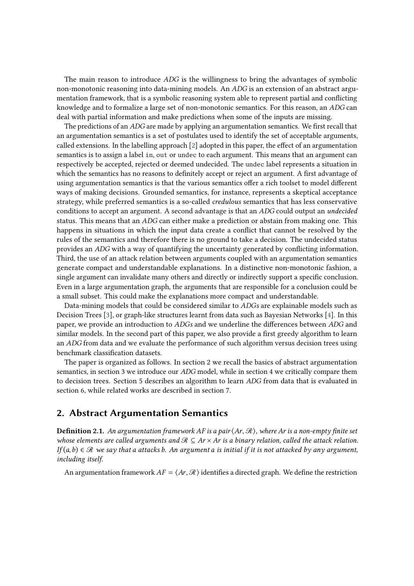The main reason to introduce  $ADG$  is the willingness to bring the advantages of symbolic non-monotonic reasoning into data-mining models. An ADG is an extension of an abstract argumentation framework, that is a symbolic reasoning system able to represent partial and conflicting knowledge and to formalize a large set of non-monotonic semantics. For this reason, an ADG can deal with partial information and make predictions when some of the inputs are missing.

The predictions of an ADG are made by applying an argumentation semantics. We first recall that an argumentation semantics is a set of postulates used to identify the set of acceptable arguments, called extensions. In the labelling approach [\[2\]](#page-14-0) adopted in this paper, the effect of an argumentation semantics is to assign a label in, out or undec to each argument. This means that an argument can respectively be accepted, rejected or deemed undecided. The undec label represents a situation in which the semantics has no reasons to definitely accept or reject an argument. A first advantage of using argumentation semantics is that the various semantics offer a rich toolset to model different ways of making decisions. Grounded semantics, for instance, represents a skeptical acceptance strategy, while preferred semantics is a so-called *credulous* semantics that has less conservative conditions to accept an argument. A second advantage is that an *ADG* could output an *undecided* status. This means that an  $\overline{ADG}$  can either make a prediction or abstain from making one. This happens in situations in which the input data create a conflict that cannot be resolved by the rules of the semantics and therefore there is no ground to take a decision. The undecided status provides an ADG with a way of quantifying the uncertainty generated by conflicting information. Third, the use of an attack relation between arguments coupled with an argumentation semantics generate compact and understandable explanations. In a distinctive non-monotonic fashion, a single argument can invalidate many others and directly or indirectly support a specific conclusion. Even in a large argumentation graph, the arguments that are responsible for a conclusion could be a small subset. This could make the explanations more compact and understandable.

Data-mining models that could be considered similar to *ADGs* are explainable models such as Decision Trees [\[3\]](#page-14-1), or graph-like structures learnt from data such as Bayesian Networks [\[4\]](#page-14-2). In this paper, we provide an introduction to  $ADGs$  and we underline the differences between  $ADG$  and similar models. In the second part of this paper, we also provide a first greedy algorithm to learn an ADG from data and we evaluate the performance of such algorithm versus decision trees using benchmark classification datasets.

The paper is organized as follows. In section 2 we recall the basics of abstract argumentation semantics, in section 3 we introduce our  $ADG$  model, while in section 4 we critically compare them to decision trees. Section 5 describes an algorithm to learn  $\overline{ADG}$  from data that is evaluated in section 6, while related works are described in section 7.

# **2. Abstract Argumentation Semantics**

**Definition 2.1.** *An argumentation framework is a pair* ⟨, ℛ⟩*, where is a non-empty finite set whose elements are called arguments and*  $\mathcal{R}$  ⊂  $\mathcal{A}$ r  $\times$   $\mathcal{A}$ r *is a binary relation, called the attack relation.*  $If (a, b) \in \mathcal{R}$  we say that a attacks *b.* An argument a is initial if it is not attacked by any argument, *including itself*.

An argumentation framework  $AF = \langle Ar, \mathcal{R} \rangle$  identifies a directed graph. We define the restriction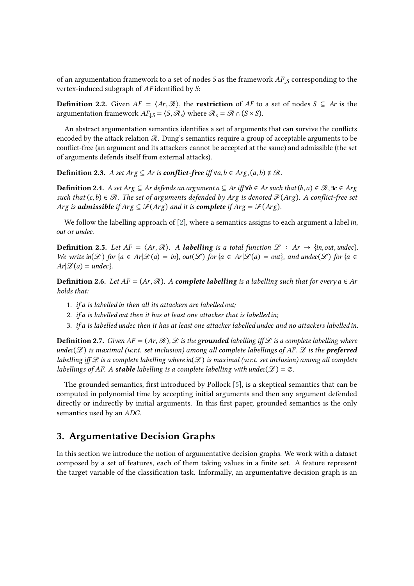of an argumentation framework to a set of nodes *S* as the framework  $AF_{\downarrow S}$  corresponding to the vertex-induced subgraph of  $AF$  identified by  $S$ :

**Definition 2.2.** Given  $AF = \langle Ar, \mathcal{R} \rangle$ , the **restriction** of  $AF$  to a set of nodes  $S \subseteq Ar$  is the argumentation framework  $AF_{\downarrow S} = \langle S, \mathcal{R}_s \rangle$  where  $\mathcal{R}_s = \mathcal{R} \cap (S \times S)$ .

An abstract argumentation semantics identifies a set of arguments that can survive the conflicts encoded by the attack relation  $\mathcal{R}$ . Dung's semantics require a group of acceptable arguments to be conflict-free (an argument and its attackers cannot be accepted at the same) and admissible (the set of arguments defends itself from external attacks).

**Definition 2.3.** *A set*  $Arg ⊆ Ar$  *is conflict-free iff*  $\forall a, b ∈ Arg, (a, b) ∉ R$ .

**Definition 2.4.** *A set Arg ⊆ Ar defineds an argument a ⊆ Ar iff* $$\forall b \in Ar such that (b, a) \in \mathcal{R}$ ,  $\exists c \in Arg$$ *such that*  $(c, b) \in \mathcal{R}$ . The set of arguments defended by Arg is denoted  $\mathcal{F}(Arg)$ . A conflict-free set *Arg is admissible if*  $Arg \subseteq \mathcal{F}(Arg)$  *and it is complete if*  $Arg = \mathcal{F}(Arg)$ .

We follow the labelling approach of [\[2\]](#page-14-0), where a semantics assigns to each argument a label in, out or undec.

**Definition 2.5.** Let  $AF = \langle Ar, \mathcal{R} \rangle$ . A **labelling** is a total function  $\mathcal{L}: Ar \rightarrow \{in, out, under\}$ . *We write*  $\text{in}(\mathcal{L})$  *for*  $\{a \in Ar | \mathcal{L}(a) = in \}$ *,*  $\text{out}(\mathcal{L})$  *for*  $\{a \in Ar | \mathcal{L}(a) = out \}$ *, and undec*( $\mathcal{L}$ ) *for*  $\{a \in Ar | \mathcal{L}(a) = in \}$  $Ar[\mathcal{L}(a) = undec$ .

**Definition 2.6.** Let  $AF = (Ar, R)$ . A *complete labelling* is a labelling such that for every  $a \in Ar$ *holds that:*

- 1. *if a is labelled in then all its attackers are labelled out;*
- 2. *if* a is labelled out then it has at least one attacker that is labelled in;
- 3. *if is labelled then it has at least one attacker labelled and no attackers labelled .*

**Definition 2.7.** *Given*  $AF = (Ar, \mathcal{R})$ ,  $\mathcal{L}$  *is the grounded labelling iff*  $\mathcal{L}$  *is a complete labelling where*  $undec(\mathcal{L})$  is maximal (w.r.t. set inclusion) among all complete labellings of AF.  $\mathcal L$  is the **preferred** *labelling iff*  $\mathcal{L}$  *is a complete labelling where in*( $\mathcal{L}$ ) *is maximal* (w.r.t. set inclusion) among all complete *labellings of AF. A stable labelling is a complete labelling with undec* $(\mathcal{L}) = \emptyset$ *.* 

The grounded semantics, first introduced by Pollock [\[5\]](#page-14-3), is a skeptical semantics that can be computed in polynomial time by accepting initial arguments and then any argument defended directly or indirectly by initial arguments. In this first paper, grounded semantics is the only semantics used by an ADG.

# **3. Argumentative Decision Graphs**

In this section we introduce the notion of argumentative decision graphs. We work with a dataset composed by a set of features, each of them taking values in a finite set. A feature represent the target variable of the classification task. Informally, an argumentative decision graph is an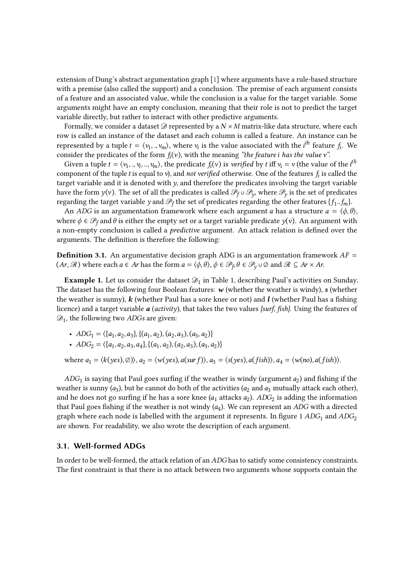extension of Dung's abstract argumentation graph [\[1\]](#page-14-4) where arguments have a rule-based structure with a premise (also called the support) and a conclusion. The premise of each argument consists of a feature and an associated value, while the conclusion is a value for the target variable. Some arguments might have an empty conclusion, meaning that their role is not to predict the target variable directly, but rather to interact with other predictive arguments.

Formally, we consider a dataset  $\mathcal D$  represented by a  $N \times M$  matrix-like data structure, where each row is called an instance of the dataset and each column is called a feature. An instance can be represented by a tuple  $t = \langle v_1,..,v_m \rangle$ , where  $v_i$  is the value associated with the  $i^{th}$  feature  $f_i$ . We consider the predicates of the form  $f_i(v)$ , with the meaning *"the feature i* has the value  $v$ ".

Given a tuple  $t = \langle v_1,..,v_i,..,v_m \rangle$ , the predicate  $f_i(v)$  is *verified* by  $t$  iff  $v_i = v$  (the value of the  $i^{th}$ component of the tuple *t* is equal to  $v$ ), and *not verified* otherwise. One of the features  $f_i$  is called the target variable and it is denoted with  $y$ , and therefore the predicates involving the target variable have the form  $y(v)$ . The set of all the predicates is called  $\mathscr{P}_f\cup\mathscr{P}_y,$  where  $\mathscr{P}_y$  is the set of predicates regarding the target variable  $y$  and  $\mathscr{P}_f$  the set of predicates regarding the other features  $\{f_1..f_m\}$ .

An *ADG* is an argumentation framework where each argument *a* has a structure  $a = \langle \phi, \theta \rangle$ , where  $\phi \in \mathcal{P}_f$  and  $\theta$  is either the empty set or a target variable predicate  $y(v)$ . An argument with a non-empty conclusion is called a *predictive* argument. An attack relation is defined over the arguments. The definition is therefore the following:

**Definition 3.1.** An argumentative decision graph ADG is an argumentation framework  $AF =$  $(Ar,\mathscr{R})$  where each  $a\in Ar$  has the form  $a=\langle\phi,\theta\rangle,\phi\in\mathscr{P}_f,\theta\in\mathscr{P}_y\cup\varnothing$  and  $\mathscr{R}\subseteq Ar\times Ar.$ 

**Example 1.** Let us consider the dataset  $\mathcal{D}_1$  in Table 1, describing Paul's activities on Sunday. The dataset has the following four Boolean features: *w* (whether the weather is windy), *s* (whether the weather is sunny), *k* (whether Paul has a sore knee or not) and *l* (whether Paul has a fishing licence) and a target variable *a* (*activity*), that takes the two values *{surf, fish}*. Using the features of  $\mathcal{D}_1$ , the following two ADGs are given:

•  $ADG_1 = \{\{a_1, a_2, a_3\}, \{(a_1, a_2), (a_2, a_3), (a_3, a_2)\}\}$ 

• 
$$
ADC_2 = \langle \{a_1, a_2, a_3, a_4\}, \{(a_1, a_2), (a_2, a_3), (a_3, a_2)\}\
$$

where  $a_1 = \langle k(yes), \emptyset \rangle$ ,  $a_2 = \langle w(yes), a(surf) \rangle$ ,  $a_3 = \langle s(yes), a(fish) \rangle$ ,  $a_4 = \langle w(no), a(fish) \rangle$ .

 $ADC<sub>1</sub>$  is saying that Paul goes surfing if the weather is windy (argument  $a<sub>2</sub>$ ) and fishing if the weather is sunny  $(a_3)$ , but he cannot do both of the activities  $(a_2$  and  $a_3$  mutually attack each other), and he does not go surfing if he has a sore knee  $(a_1$  attacks  $a_2$ ).  $\mathit{ADC}_2$  is adding the information that Paul goes fishing if the weather is not windy  $(a_4)$ . We can represent an  $\mathit{ADC}$  with a directed graph where each node is labelled with the argument it represents. In figure 1  $ADG<sub>1</sub>$  and  $ADG<sub>2</sub>$ are shown. For readability, we also wrote the description of each argument.

#### **3.1. Well-formed ADGs**

In order to be well-formed, the attack relation of an ADG has to satisfy some consistency constraints. The first constraint is that there is no attack between two arguments whose supports contain the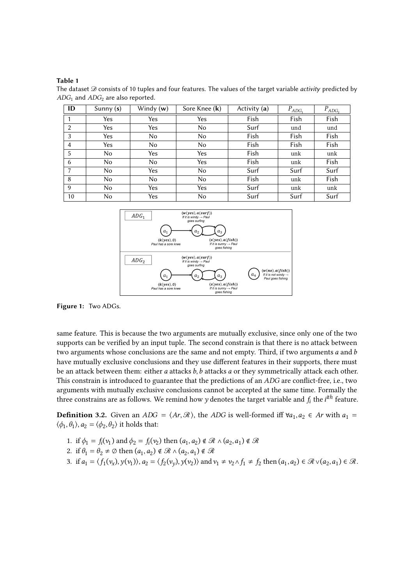#### **Table 1**

The dataset  $\mathcal D$  consists of 10 tuples and four features. The values of the target variable *activity* predicted by  $ADG<sub>1</sub>$  and  $ADG<sub>2</sub>$  are also reported.

| ID             | Sunny $(s)$ | Windy (w) | Sore Knee (k) | Activity (a) | $P_{ADG_1}$ | $P_{ADG_2}$ |
|----------------|-------------|-----------|---------------|--------------|-------------|-------------|
|                | Yes         | Yes       | Yes           | Fish         | Fish        | Fish        |
| $\overline{2}$ | Yes         | Yes       | No            | Surf         | und         | und         |
| 3              | Yes         | No        | No            | Fish         | Fish        | Fish        |
| $\overline{4}$ | Yes         | No        | No            | Fish         | Fish        | Fish        |
| 5              | No          | Yes       | Yes           | Fish         | unk         | unk         |
| 6              | No          | No        | Yes           | Fish         | unk         | Fish        |
| 7              | No          | Yes       | No            | Surf         | Surf        | Surf        |
| 8              | No          | No        | No            | Fish         | unk         | Fish        |
| 9              | No          | Yes       | Yes           | Surf         | unk         | unk         |
| 10             | No.         | Yes       | No            | Surf         | Surf        | Surf        |



**Figure 1:** Two ADGs.

same feature. This is because the two arguments are mutually exclusive, since only one of the two supports can be verified by an input tuple. The second constrain is that there is no attack between two arguments whose conclusions are the same and not empty. Third, if two arguments  $a$  and  $b$ have mutually exclusive conclusions and they use different features in their supports, there must be an attack between them: either  $a$  attacks  $b$ ,  $b$  attacks  $a$  or they symmetrically attack each other. This constrain is introduced to guarantee that the predictions of an *ADG* are conflict-free, i.e., two arguments with mutually exclusive conclusions cannot be accepted at the same time. Formally the three constrains are as follows. We remind how  $y$  denotes the target variable and  $f_i$  the  $i^{ith}$  feature.

**Definition 3.2.** Given an  $ADC = \langle Ar, \mathcal{R} \rangle$ , the ADG is well-formed iff  $\forall a_1, a_2 \in Ar$  with  $a_1 =$  $\langle \phi_1, \theta_1 \rangle$ ,  $a_2 = \langle \phi_2, \theta_2 \rangle$  it holds that:

- 1. if  $\phi_1 = f_i(v_1)$  and  $\phi_2 = f_i(v_2)$  then  $(a_1, a_2) \notin \mathcal{R} \wedge (a_2, a_1) \notin \mathcal{R}$
- 2. if  $\theta_1 = \theta_2 \neq \emptyset$  then  $(a_1, a_2) \notin \mathcal{R} \wedge (a_2, a_1) \notin \mathcal{R}$
- 3. if  $a_1 = \langle f_1(v_x), y(v_1) \rangle$ ,  $a_2 = \langle f_2(v_y), y(v_2) \rangle$  and  $v_1 \neq v_2 \land f_1 \neq f_2$  then  $(a_1, a_2) \in \mathcal{R} \lor (a_2, a_1) \in \mathcal{R}$ .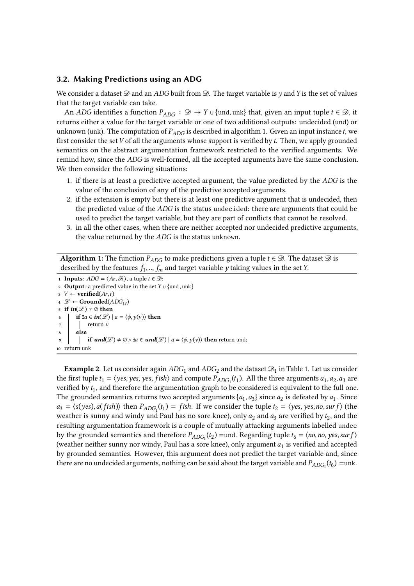#### **3.2. Making Predictions using an ADG**

We consider a dataset  $\mathscr D$  and an ADG built from  $\mathscr D$ . The target variable is y and Y is the set of values that the target variable can take.

An ADG identifies a function  $P_{ADC}$ :  $\mathscr{D} \to Y$   $\cup$  {und, unk} that, given an input tuple  $t \in \mathscr{D}$ , it returns either a value for the target variable or one of two additional outputs: undecided (und) or unknown (unk). The computation of  $P_{ADC}$  is described in algorithm 1. Given an input instance t, we first consider the set  $V$  of all the arguments whose support is verified by  $t$ . Then, we apply grounded semantics on the abstract argumentation framework restricted to the verified arguments. We remind how, since the ADG is well-formed, all the accepted arguments have the same conclusion. We then consider the following situations:

- 1. if there is at least a predictive accepted argument, the value predicted by the  $ADG$  is the value of the conclusion of any of the predictive accepted arguments.
- 2. if the extension is empty but there is at least one predictive argument that is undecided, then the predicted value of the  $ADG$  is the status undecided: there are arguments that could be used to predict the target variable, but they are part of conflicts that cannot be resolved.
- 3. in all the other cases, when there are neither accepted nor undecided predictive arguments, the value returned by the ADG is the status unknown.

**Algorithm 1:** The function  $P_{ADC}$  to make predictions given a tuple  $t \in \mathcal{D}$ . The dataset  $\mathcal{D}$  is described by the features  $f_1,..,f_m$  and target variable  $y$  taking values in the set Y.

 **Inputs**:  $ADG = \langle Ar, \mathcal{R} \rangle$ , a tuple  $t \in \mathcal{D}$ ; **Output**: a predicted value in the set  $Y \cup \{und,unk\}$   $V \leftarrow$  **verified**(Ar, t)  $\mathcal{L}$  ← **Grounded**( $ADC_{|V}$ ) **if**  $in(\mathcal{L}) \neq \emptyset$  **then if** ∃ $a \in \mathbf{in}(\mathcal{L}) \mid a = \langle \phi, \gamma(\nu) \rangle$  then **<sup>7</sup>** return *v* **<sup>8</sup> else i if**  $\mathbf{u} \cdot \mathbf{n} \cdot d(\mathcal{L}) \neq \emptyset \land \exists a \in \mathbf{u} \cdot \mathbf{n} \cdot d(\mathcal{L}) \mid a = \langle \phi, \nu(\nu) \rangle$  then return und; return unk

**Example 2**. Let us consider again  $ADC_1$  and  $ADC_2$  and the dataset  $\mathscr{D}_1$  in Table 1. Let us consider the first tuple  $t_1 = \langle yes, yes, jish \rangle$  and compute  $P_{ADC_1}(t_1)$ . All the three arguments  $a_1, a_2, a_3$  are verified by  $t_1$ , and therefore the argumentation graph to be considered is equivalent to the full one. The grounded semantics returns two accepted arguments  $\{a_1, a_3\}$  since  $a_2$  is defeated by  $a_1$ . Since  $a_3 = \langle s(yes), a(fish) \rangle$  then  $P_{ADC_1}(t_1) = fish$ . If we consider the tuple  $t_2 = \langle yes, yes, no, sur f \rangle$  (the weather is sunny and windy and Paul has no sore knee), only  $a_2$  and  $a_3$  are verified by  $t_2$ , and the resulting argumentation framework is a couple of mutually attacking arguments labelled undec by the grounded semantics and therefore  $P_{ADC_1}(t_2)$  =und. Regarding tuple  $t_6 = \langle no, no, yes, sur f \rangle$ (weather neither sunny nor windy, Paul has a sore knee), only argument  $a_1$  is verified and accepted by grounded semantics. However, this argument does not predict the target variable and, since there are no undecided arguments, nothing can be said about the target variable and  $P_{ADC_1}(t_6) =$ unk.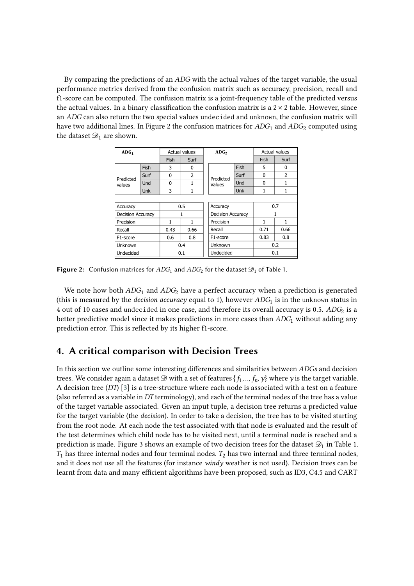By comparing the predictions of an  $ADC$  with the actual values of the target variable, the usual performance metrics derived from the confusion matrix such as accuracy, precision, recall and f1-score can be computed. The confusion matrix is a joint-frequency table of the predicted versus the actual values. In a binary classification the confusion matrix is a  $2 \times 2$  table. However, since an ADG can also return the two special values undecided and unknown, the confusion matrix will have two additional lines. In Figure 2 the confusion matrices for  $ADG<sub>1</sub>$  and  $ADG<sub>2</sub>$  computed using the dataset  $\mathcal{D}_1$  are shown.

| ADG <sub>1</sub>         |            | Actual values |                | ADG <sub>2</sub>      |                          |      | <b>Actual values</b> |  |
|--------------------------|------------|---------------|----------------|-----------------------|--------------------------|------|----------------------|--|
|                          |            | Fish          | Surf           |                       |                          | Fish | Surf                 |  |
|                          | Fish       | 3             | 0              |                       | Fish                     | 5    | 0                    |  |
| Predicted<br>values      | Surf       | $\Omega$      | $\overline{2}$ | Predicted<br>Values   | Surf                     | 0    | $\overline{2}$       |  |
|                          | Und        | 0             | 1              |                       | Und                      | 0    | 1                    |  |
|                          | <b>Unk</b> | 3             | 1              |                       | Unk                      | 1    | 1                    |  |
|                          |            |               |                |                       |                          |      |                      |  |
| Accuracy                 |            | 0.5           |                | Accuracy              |                          |      | 0.7                  |  |
| <b>Decision Accuracy</b> |            | 1             |                |                       | <b>Decision Accuracy</b> |      |                      |  |
| Precision                |            | 1             | 1              | Precision             |                          |      | 1                    |  |
| Recall                   |            | 0.43          | 0.66           | Recall                |                          |      | 0.66                 |  |
| F <sub>1</sub> -score    |            | 0.6           | 0.8            | F <sub>1</sub> -score |                          |      | 0.8                  |  |
| Unknown                  |            | 0.4           |                | Unknown               |                          |      | 0.2                  |  |
| Undecided                |            | 0.1           |                | Undecided             |                          |      | 0.1                  |  |

**Figure 2:** Confusion matrices for  $ADC_1$  and  $ADC_2$  for the dataset  $\mathcal{D}_1$  of Table 1.

We note how both  $ADG_1$  and  $ADG_2$  have a perfect accuracy when a prediction is generated (this is measured by the *decision accuracy* equal to 1), however  $ADC_1$  is in the unknown status in 4 out of 10 cases and undecided in one case, and therefore its overall accuracy is 0.5.  $\mathit{ADC}_2$  is a better predictive model since it makes predictions in more cases than  $\mathit{ADC}_1$  without adding any prediction error. This is reflected by its higher f1-score.

# **4. A critical comparison with Decision Trees**

In this section we outline some interesting differences and similarities between ADGs and decision trees. We consider again a dataset  $\mathscr D$  with a set of features  $\{f_1,..,f_n,y\}$  where  $y$  is the target variable. A decision tree (DT) [\[3\]](#page-14-1) is a tree-structure where each node is associated with a test on a feature (also referred as a variable in  $DT$  terminology), and each of the terminal nodes of the tree has a value of the target variable associated. Given an input tuple, a decision tree returns a predicted value for the target variable (the *decision*). In order to take a decision, the tree has to be visited starting from the root node. At each node the test associated with that node is evaluated and the result of the test determines which child node has to be visited next, until a terminal node is reached and a prediction is made. Figure 3 shows an example of two decision trees for the dataset  $\mathscr{D}_1$  in Table 1.  $T_1$  has three internal nodes and four terminal nodes.  $T_2$  has two internal and three terminal nodes, and it does not use all the features (for instance *windy* weather is not used). Decision trees can be learnt from data and many efficient algorithms have been proposed, such as ID3, C4.5 and CART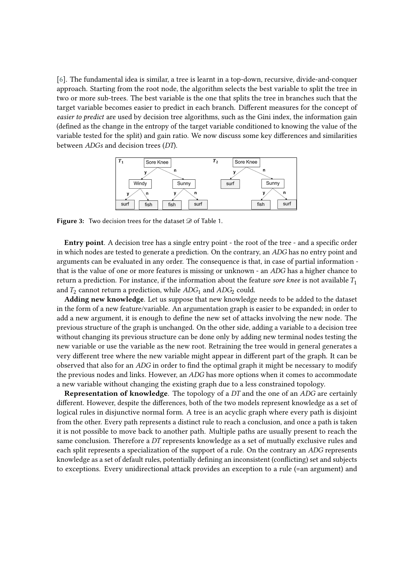[\[6\]](#page-14-5). The fundamental idea is similar, a tree is learnt in a top-down, recursive, divide-and-conquer approach. Starting from the root node, the algorithm selects the best variable to split the tree in two or more sub-trees. The best variable is the one that splits the tree in branches such that the target variable becomes easier to predict in each branch. Different measures for the concept of *easier to predict* are used by decision tree algorithms, such as the Gini index, the information gain (defined as the change in the entropy of the target variable conditioned to knowing the value of the variable tested for the split) and gain ratio. We now discuss some key differences and similarities between  $ADGs$  and decision trees  $(DT)$ .



**Figure 3:** Two decision trees for the dataset  $\mathcal{D}$  of Table 1.

**Entry point**. A decision tree has a single entry point - the root of the tree - and a specific order in which nodes are tested to generate a prediction. On the contrary, an ADG has no entry point and arguments can be evaluated in any order. The consequence is that, in case of partial information that is the value of one or more features is missing or unknown - an *ADG* has a higher chance to return a prediction. For instance, if the information about the feature *sore knee* is not available  $T_1$ and  $T_2$  cannot return a prediction, while  $ADG_1$  and  $ADG_2$  could.

**Adding new knowledge**. Let us suppose that new knowledge needs to be added to the dataset in the form of a new feature/variable. An argumentation graph is easier to be expanded; in order to add a new argument, it is enough to define the new set of attacks involving the new node. The previous structure of the graph is unchanged. On the other side, adding a variable to a decision tree without changing its previous structure can be done only by adding new terminal nodes testing the new variable or use the variable as the new root. Retraining the tree would in general generates a very different tree where the new variable might appear in different part of the graph. It can be observed that also for an  $ADG$  in order to find the optimal graph it might be necessary to modify the previous nodes and links. However, an *ADG* has more options when it comes to accommodate a new variable without changing the existing graph due to a less constrained topology.

**Representation of knowledge**. The topology of a DT and the one of an ADG are certainly different. However, despite the differences, both of the two models represent knowledge as a set of logical rules in disjunctive normal form. A tree is an acyclic graph where every path is disjoint from the other. Every path represents a distinct rule to reach a conclusion, and once a path is taken it is not possible to move back to another path. Multiple paths are usually present to reach the same conclusion. Therefore a  $DT$  represents knowledge as a set of mutually exclusive rules and each split represents a specialization of the support of a rule. On the contrary an ADG represents knowledge as a set of default rules, potentially defining an inconsistent (conflicting) set and subjects to exceptions. Every unidirectional attack provides an exception to a rule (=an argument) and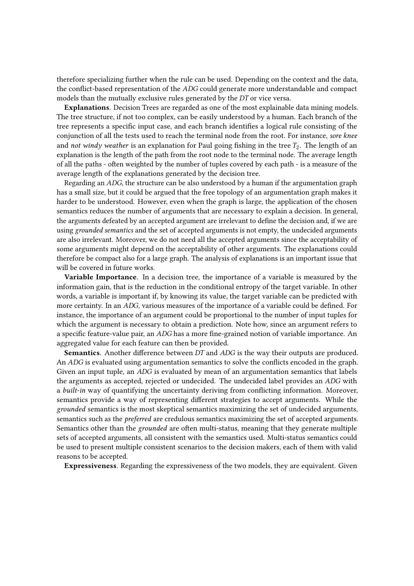therefore specializing further when the rule can be used. Depending on the context and the data, the conflict-based representation of the ADG could generate more understandable and compact models than the mutually exclusive rules generated by the  $DT$  or vice versa.

**Explanations**. Decision Trees are regarded as one of the most explainable data mining models. The tree structure, if not too complex, can be easily understood by a human. Each branch of the tree represents a specific input case, and each branch identifies a logical rule consisting of the conjunction of all the tests used to reach the terminal node from the root. For instance, *sore knee* and *not windy weather* is an explanation for Paul going fishing in the tree  $T_2$ . The length of an explanation is the length of the path from the root node to the terminal node. The average length of all the paths - often weighted by the number of tuples covered by each path - is a measure of the average length of the explanations generated by the decision tree.

Regarding an *ADG*, the structure can be also understood by a human if the argumentation graph has a small size, but it could be argued that the free topology of an argumentation graph makes it harder to be understood. However, even when the graph is large, the application of the chosen semantics reduces the number of arguments that are necessary to explain a decision. In general, the arguments defeated by an accepted argument are irrelevant to define the decision and, if we are using *grounded semantics* and the set of accepted arguments is not empty, the undecided arguments are also irrelevant. Moreover, we do not need all the accepted arguments since the acceptability of some arguments might depend on the acceptability of other arguments. The explanations could therefore be compact also for a large graph. The analysis of explanations is an important issue that will be covered in future works.

**Variable Importance**. In a decision tree, the importance of a variable is measured by the information gain, that is the reduction in the conditional entropy of the target variable. In other words, a variable is important if, by knowing its value, the target variable can be predicted with more certainty. In an ADG, various measures of the importance of a variable could be defined. For instance, the importance of an argument could be proportional to the number of input tuples for which the argument is necessary to obtain a prediction. Note how, since an argument refers to a specific feature-value pair, an ADG has a more fine-grained notion of variable importance. An aggregated value for each feature can then be provided.

**Semantics**. Another difference between DT and ADG is the way their outputs are produced. An ADG is evaluated using argumentation semantics to solve the conflicts encoded in the graph. Given an input tuple, an  $ADG$  is evaluated by mean of an argumentation semantics that labels the arguments as accepted, rejected or undecided. The undecided label provides an ADG with a *built-in* way of quantifying the uncertainty deriving from conflicting information. Moreover, semantics provide a way of representing different strategies to accept arguments. While the *grounded* semantics is the most skeptical semantics maximizing the set of undecided arguments, semantics such as the *preferred* are credulous semantics maximizing the set of accepted arguments. Semantics other than the *grounded* are often multi-status, meaning that they generate multiple sets of accepted arguments, all consistent with the semantics used. Multi-status semantics could be used to present multiple consistent scenarios to the decision makers, each of them with valid reasons to be accepted.

**Expressiveness**. Regarding the expressiveness of the two models, they are equivalent. Given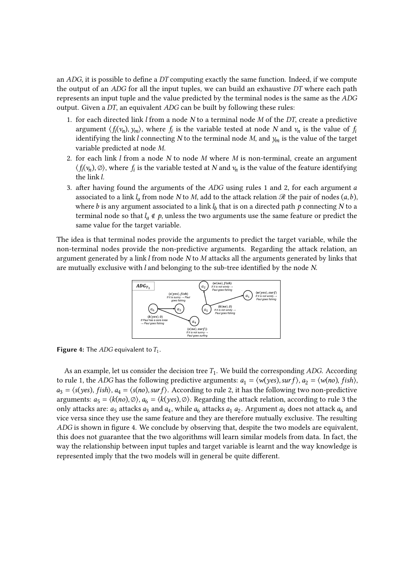an  $ADC$ , it is possible to define a DT computing exactly the same function. Indeed, if we compute the output of an  $ADG$  for all the input tuples, we can build an exhaustive  $DT$  where each path represents an input tuple and the value predicted by the terminal nodes is the same as the ADG output. Given a  $DT$ , an equivalent  $ADC$  can be built by following these rules:

- 1. for each directed link  $l$  from a node  $N$  to a terminal node  $M$  of the DT, create a predictive argument  $\langle f_i(v_n), y_m \rangle$ , where  $f_i$  is the variable tested at node N and  $v_n$  is the value of  $f_i$ identifying the link *l* connecting *N* to the terminal node *M*, and  $y_m$  is the value of the target variable predicted at node  $M$ .
- 2. for each link  $l$  from a node  $N$  to node  $M$  where  $M$  is non-terminal, create an argument  $\langle f_i(v_n),\varnothing\rangle$ , where  $f_i$  is the variable tested at  $N$  and  $v_n$  is the value of the feature identifying the link *l*.
- 3. after having found the arguments of the  $ADC$  using rules 1 and 2, for each argument a associated to a link  $l_a$  from node  $N$  to  $M$ , add to the attack relation  $\mathscr R$  the pair of nodes  $(a, b)$ , where  $b$  is any argument associated to a link  $l_b$  that is on a directed path  $\emph{p}$  connecting  $N$  to a terminal node so that  $l_a \notin p$ , unless the two arguments use the same feature or predict the same value for the target variable.

The idea is that terminal nodes provide the arguments to predict the target variable, while the non-terminal nodes provide the non-predictive arguments. Regarding the attack relation, an argument generated by a link  $l$  from node  $N$  to  $M$  attacks all the arguments generated by links that are mutually exclusive with  $l$  and belonging to the sub-tree identified by the node  $N$ .



**Figure 4:** The  $ADG$  equivalent to  $T_1$ .

As an example, let us consider the decision tree  $T_1$ . We build the corresponding ADG. According to rule 1, the ADG has the following predictive arguments:  $a_1 = \langle w(yes), sur f \rangle$ ,  $a_2 = \langle w(no), fish \rangle$ ,  $a_3 = \langle s(yes), fish \rangle, a_4 = \langle s(no), surf \rangle$ . According to rule 2, it has the following two non-predictive arguments:  $a_5 = \langle k(no), \emptyset \rangle$ ,  $a_6 = \langle k(yes), \emptyset \rangle$ . Regarding the attack relation, according to rule 3 the only attacks are:  $a_5$  attacks  $a_3$  and  $a_4$ , while  $a_6$  attacks  $a_1$   $a_2$ . Argument  $a_5$  does not attack  $a_6$  and vice versa since they use the same feature and they are therefore mutually exclusive. The resulting ADG is shown in figure 4. We conclude by observing that, despite the two models are equivalent, this does not guarantee that the two algorithms will learn similar models from data. In fact, the way the relationship between input tuples and target variable is learnt and the way knowledge is represented imply that the two models will in general be quite different.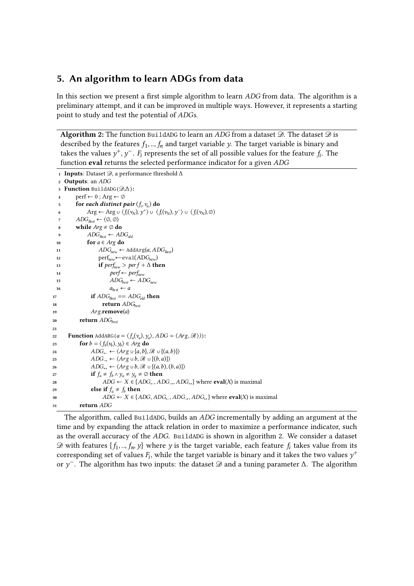# **5. An algorithm to learn ADGs from data**

In this section we present a first simple algorithm to learn ADG from data. The algorithm is a preliminary attempt, and it can be improved in multiple ways. However, it represents a starting point to study and test the potential of ADGs.

**Algorithm 2:** The function BuildADG to learn an ADG from a dataset  $\mathcal{D}$ . The dataset  $\mathcal{D}$  is described by the features  $f_1,..,f_n$  and target variable  $y$ . The target variable is binary and takes the values  $y^{+}, y^{-}$ .  $F_{i}$  represents the set of all possible values for the feature  $f_{i}$ . The function **eval** returns the selected performance indicator for a given

```
1 Inputs: Dataset \mathcal{D}, a performance threshold \Delta2 Outputs: an 
   3 Function BuildADG(\mathcal{D}, \Delta):
   4 perf \leftarrow 0; Arg \leftarrow \emptyset5 for each distinct pair (f_i, v_n) do
   6 Arg ← Arg ∪ \langle f_i(v_N), y^+ \rangle ∪ \langle f_i(v_N), y^- \rangle ∪ \langle f_i(v_N), \emptyset \rangle\label{eq:3} 7 \qquad \quad ADG_{Best} \leftarrow \langle \oslash, \oslash \rangle8 while Arg \neq \emptyset do
   9 ADG_{Best} \leftarrow ADG_{old}10 for a \in Arg do
  11 \text{ADG}_{\text{new}} \leftarrow \text{AddArg}(a, \text{ADG}_{\text{Rest}})12 perf<sub>new</sub>←eval(ADG<sub>new</sub>)
  13 if \text{perf}_{\text{new}} > \text{perf} + \Delta then
  14 perf ← perf<sub>new</sub>
  15 ADG_{best} \leftarrow ADC_{new}16 a_{best} \leftarrow a17 if ADC_{\text{Best}} == ADC_{\text{old}} then
18 return \text{ADG}_{\text{best}}19 Arg.remove(a)
20 return 
21
22 Function AddARG(a = \langle f_a(v_a), y_a \rangle, ADC = \langle Arg, \mathcal{R} \rangle)):
23 for b = \langle f_b(v_b), y_b \rangle \in Arg do
24 \qquad \qquad ADG_{\leftarrow} \leftarrow \langle Arg \cup \{a, b\}, \mathcal{R} \cup \{(a, b)\}\rangle25 \qquad \qquad ADG_{\rightarrow} \leftarrow \langle Arg \cup b, \mathcal{R} \cup \{(b, a)\}\rangle26 \qquad \qquad ADG_{\leftrightarrow} \leftarrow \langle Arg \cup b, \mathcal{R} \cup \{(a, b), (b, a)\}\rangle27 if f_a \neq f_b \land y_a \neq y_q \neq \emptyset then
28 \text{ADC} \leftarrow X \in \{ADC_{\leftarrow}, ADC_{\rightarrow}, ADC_{\rightarrow} \} where eval(X) is maximal
29 else if f_a \neq f_b then
30  \triangle ABC \leftarrow X \in \{ADG, ADG_{\leftarrow}, ADC_{\rightarrow}, ADC_{\leftrightarrow}\} where eval(X) is maximal
31 return
```
The algorithm, called BuildADG, builds an  $ADG$  incrementally by adding an argument at the time and by expanding the attack relation in order to maximize a performance indicator, such as the overall accuracy of the ADG. BuildADG is shown in algorithm 2. We consider a dataset  $\mathscr D$  with features  $\{f_1,..,f_n,y\}$  where  $y$  is the target variable, each feature  $f_i$  takes value from its corresponding set of values  $F_i$ , while the target variable is binary and it takes the two values  $y^+$ or  $y^{-}$ . The algorithm has two inputs: the dataset  $\mathscr D$  and a tuning parameter  $\Delta$ . The algorithm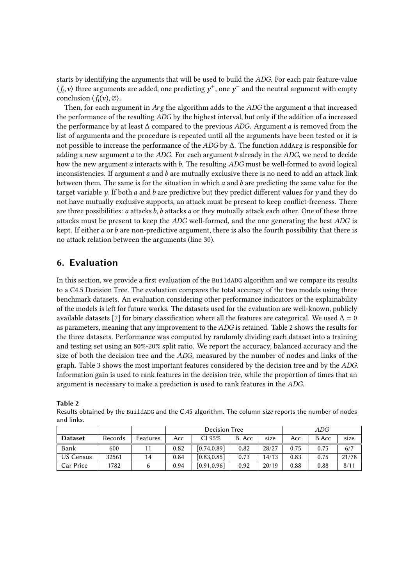starts by identifying the arguments that will be used to build the *ADG*. For each pair feature-value  $\langle f_i,v\rangle$  three arguments are added, one predicting  $y^+$ , one  $y^-$  and the neutral argument with empty conclusion  $\langle f_i(v), \emptyset \rangle$ .

Then, for each argument in  $Arg$  the algorithm adds to the  $ADS$  the argument  $a$  that increased the performance of the resulting  $\overline{ADS}$  by the highest interval, but only if the addition of a increased the performance by at least  $\Delta$  compared to the previous *ADG*. Argument *a* is removed from the list of arguments and the procedure is repeated until all the arguments have been tested or it is not possible to increase the performance of the  $ADG$  by Δ. The function AddArg is responsible for adding a new argument  $a$  to the  $ADG$ . For each argument  $b$  already in the  $ADG$ , we need to decide how the new argument  $a$  interacts with  $b$ . The resulting  $ADC$  must be well-formed to avoid logical inconsistencies. If argument  $a$  and  $b$  are mutually exclusive there is no need to add an attack link between them. The same is for the situation in which  $a$  and  $b$  are predicting the same value for the target variable  $\gamma$ . If both a and b are predictive but they predict different values for  $\gamma$  and they do not have mutually exclusive supports, an attack must be present to keep conflict-freeness. There are three possibilities:  $a$  attacks  $b$ ,  $b$  attacks  $a$  or they mutually attack each other. One of these three attacks must be present to keep the ADG well-formed, and the one generating the best ADG is kept. If either  $a$  or  $b$  are non-predictive argument, there is also the fourth possibility that there is no attack relation between the arguments (line 30).

# **6. Evaluation**

In this section, we provide a first evaluation of the BuildADG algorithm and we compare its results to a C4.5 Decision Tree. The evaluation compares the total accuracy of the two models using three benchmark datasets. An evaluation considering other performance indicators or the explainability of the models is left for future works. The datasets used for the evaluation are well-known, publicly available datasets [\[7\]](#page-14-6) for binary classification where all the features are categorical. We used  $\Delta = 0$ as parameters, meaning that any improvement to the *ADG* is retained. Table 2 shows the results for the three datasets. Performance was computed by randomly dividing each dataset into a training and testing set using an 80%-20% split ratio. We report the accuracy, balanced accuracy and the size of both the decision tree and the ADG, measured by the number of nodes and links of the graph. Table 3 shows the most important features considered by the decision tree and by the ADG. Information gain is used to rank features in the decision tree, while the proportion of times that an argument is necessary to make a prediction is used to rank features in the ADG.

|                  |         |          | Decision Tree |             |        | ADG   |      |       |       |
|------------------|---------|----------|---------------|-------------|--------|-------|------|-------|-------|
| <b>Dataset</b>   | Records | Features | Acc:          | CI 95%      | B. Acc | size  | Acc  | B.Acc | size  |
| Bank             | 600     |          | 0.82          | [0.74.0.89] | 0.82   | 28/27 | 0.75 | 0.75  | 6/7   |
| <b>US Census</b> | 32561   | 14       | 0.84          | [0.83.0.85] | 0.73   | 14/13 | 0.83 | 0.75  | 21/78 |
| Car Price        | 1782    |          | 0.94          | [0.91.0.96] | 0.92   | 20/19 | 0.88 | 0.88  | 8/11  |

**Table 2**

Results obtained by the BuildADG and the C.45 algorithm. The column *size* reports the number of nodes and links.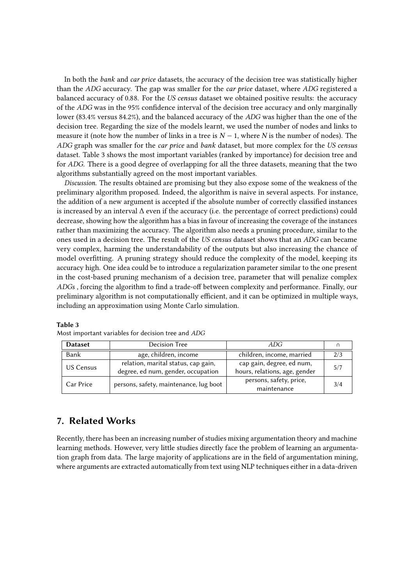In both the *bank* and *car price* datasets, the accuracy of the decision tree was statistically higher than the ADG accuracy. The gap was smaller for the *car price* dataset, where ADG registered a balanced accuracy of 0.88. For the *US census* dataset we obtained positive results: the accuracy of the ADG was in the 95% confidence interval of the decision tree accuracy and only marginally lower (83.4% versus 84.2%), and the balanced accuracy of the  $ADG$  was higher than the one of the decision tree. Regarding the size of the models learnt, we used the number of nodes and links to measure it (note how the number of links in a tree is  $N - 1$ , where N is the number of nodes). The graph was smaller for the *car price* and *bank* dataset, but more complex for the *US census* dataset. Table 3 shows the most important variables (ranked by importance) for decision tree and for *ADG*. There is a good degree of overlapping for all the three datasets, meaning that the two algorithms substantially agreed on the most important variables.

*Discussion*. The results obtained are promising but they also expose some of the weakness of the preliminary algorithm proposed. Indeed, the algorithm is naive in several aspects. For instance, the addition of a new argument is accepted if the absolute number of correctly classified instances is increased by an interval Δ even if the accuracy (i.e. the percentage of correct predictions) could decrease, showing how the algorithm has a bias in favour of increasing the coverage of the instances rather than maximizing the accuracy. The algorithm also needs a pruning procedure, similar to the ones used in a decision tree. The result of the *US census* dataset shows that an *ADG* can became very complex, harming the understandability of the outputs but also increasing the chance of model overfitting. A pruning strategy should reduce the complexity of the model, keeping its accuracy high. One idea could be to introduce a regularization parameter similar to the one present in the cost-based pruning mechanism of a decision tree, parameter that will penalize complex , forcing the algorithm to find a trade-off between complexity and performance. Finally, our preliminary algorithm is not computationally efficient, and it can be optimized in multiple ways, including an approximation using Monte Carlo simulation.

| <b>Dataset</b> | Decision Tree                          | ADG.                          |     |
|----------------|----------------------------------------|-------------------------------|-----|
| Bank           | age, children, income                  | children, income, married     | 2/3 |
| US Census      | relation, marital status, cap gain,    | cap gain, degree, ed num,     | 5/7 |
|                | degree, ed num, gender, occupation     | hours, relations, age, gender |     |
| Car Price      | persons, safety, maintenance, lug boot | persons, safety, price,       | 3/4 |
|                |                                        | maintenance                   |     |

**Table 3**

# **7. Related Works**

Most important variables for decision tree and ADG

Recently, there has been an increasing number of studies mixing argumentation theory and machine learning methods. However, very little studies directly face the problem of learning an argumentation graph from data. The large majority of applications are in the field of argumentation mining, where arguments are extracted automatically from text using NLP techniques either in a data-driven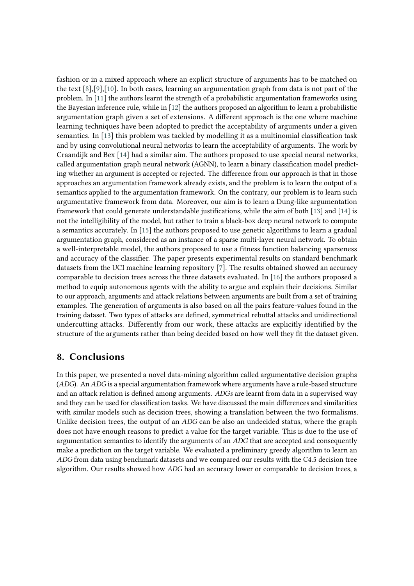fashion or in a mixed approach where an explicit structure of arguments has to be matched on the text [\[8\]](#page-14-7),[\[9\]](#page-14-8),[\[10\]](#page-14-9). In both cases, learning an argumentation graph from data is not part of the problem. In [\[11\]](#page-14-10) the authors learnt the strength of a probabilistic argumentation frameworks using the Bayesian inference rule, while in [\[12\]](#page-14-11) the authors proposed an algorithm to learn a probabilistic argumentation graph given a set of extensions. A different approach is the one where machine learning techniques have been adopted to predict the acceptability of arguments under a given semantics. In [\[13\]](#page-14-12) this problem was tackled by modelling it as a multinomial classification task and by using convolutional neural networks to learn the acceptability of arguments. The work by Craandijk and Bex [\[14\]](#page-14-13) had a similar aim. The authors proposed to use special neural networks, called argumentation graph neural network (AGNN), to learn a binary classification model predicting whether an argument is accepted or rejected. The difference from our approach is that in those approaches an argumentation framework already exists, and the problem is to learn the output of a semantics applied to the argumentation framework. On the contrary, our problem is to learn such argumentative framework from data. Moreover, our aim is to learn a Dung-like argumentation framework that could generate understandable justifications, while the aim of both [\[13\]](#page-14-12) and [\[14\]](#page-14-13) is not the intelligibility of the model, but rather to train a black-box deep neural network to compute a semantics accurately. In [\[15\]](#page-14-14) the authors proposed to use genetic algorithms to learn a gradual argumentation graph, considered as an instance of a sparse multi-layer neural network. To obtain a well-interpretable model, the authors proposed to use a fitness function balancing sparseness and accuracy of the classifier. The paper presents experimental results on standard benchmark datasets from the UCI machine learning repository [\[7\]](#page-14-6). The results obtained showed an accuracy comparable to decision trees across the three datasets evaluated. In [\[16\]](#page-14-15) the authors proposed a method to equip autonomous agents with the ability to argue and explain their decisions. Similar to our approach, arguments and attack relations between arguments are built from a set of training examples. The generation of arguments is also based on all the pairs feature-values found in the training dataset. Two types of attacks are defined, symmetrical rebuttal attacks and unidirectional undercutting attacks. Differently from our work, these attacks are explicitly identified by the structure of the arguments rather than being decided based on how well they fit the dataset given.

# **8. Conclusions**

In this paper, we presented a novel data-mining algorithm called argumentative decision graphs ( $ADC$ ). An  $ADC$  is a special argumentation framework where arguments have a rule-based structure and an attack relation is defined among arguments.  $ADGs$  are learnt from data in a supervised way and they can be used for classification tasks. We have discussed the main differences and similarities with similar models such as decision trees, showing a translation between the two formalisms. Unlike decision trees, the output of an  $ADC$  can be also an undecided status, where the graph does not have enough reasons to predict a value for the target variable. This is due to the use of argumentation semantics to identify the arguments of an  $ADG$  that are accepted and consequently make a prediction on the target variable. We evaluated a preliminary greedy algorithm to learn an ADG from data using benchmark datasets and we compared our results with the C4.5 decision tree algorithm. Our results showed how *ADG* had an accuracy lower or comparable to decision trees, a